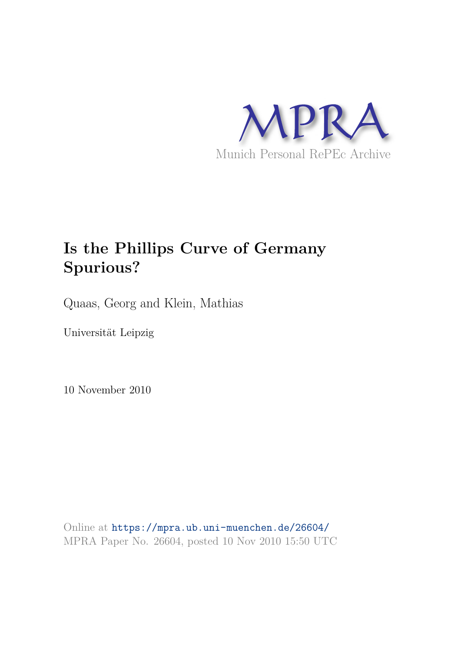

# **Is the Phillips Curve of Germany Spurious?**

Quaas, Georg and Klein, Mathias

Universität Leipzig

10 November 2010

Online at https://mpra.ub.uni-muenchen.de/26604/ MPRA Paper No. 26604, posted 10 Nov 2010 15:50 UTC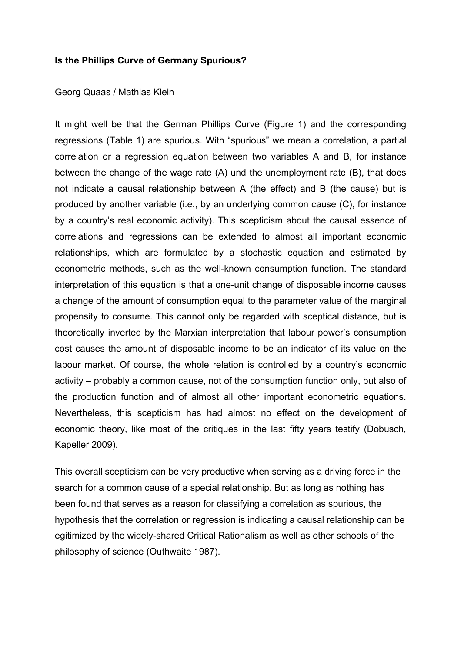## **Is the Phillips Curve of Germany Spurious?**

## Georg Quaas / Mathias Klein

It might well be that the German Phillips Curve (Figure 1) and the corresponding regressions (Table 1) are spurious. With "spurious" we mean a correlation, a partial correlation or a regression equation between two variables A and B, for instance between the change of the wage rate (A) und the unemployment rate (B), that does not indicate a causal relationship between A (the effect) and B (the cause) but is produced by another variable (i.e., by an underlying common cause (C), for instance by a country's real economic activity). This scepticism about the causal essence of correlations and regressions can be extended to almost all important economic relationships, which are formulated by a stochastic equation and estimated by econometric methods, such as the well-known consumption function. The standard interpretation of this equation is that a one-unit change of disposable income causes a change of the amount of consumption equal to the parameter value of the marginal propensity to consume. This cannot only be regarded with sceptical distance, but is theoretically inverted by the Marxian interpretation that labour power's consumption cost causes the amount of disposable income to be an indicator of its value on the labour market. Of course, the whole relation is controlled by a country's economic activity – probably a common cause, not of the consumption function only, but also of the production function and of almost all other important econometric equations. Nevertheless, this scepticism has had almost no effect on the development of economic theory, like most of the critiques in the last fifty years testify (Dobusch, Kapeller 2009).

This overall scepticism can be very productive when serving as a driving force in the search for a common cause of a special relationship. But as long as nothing has been found that serves as a reason for classifying a correlation as spurious, the hypothesis that the correlation or regression is indicating a causal relationship can be egitimized by the widely-shared Critical Rationalism as well as other schools of the philosophy of science (Outhwaite 1987).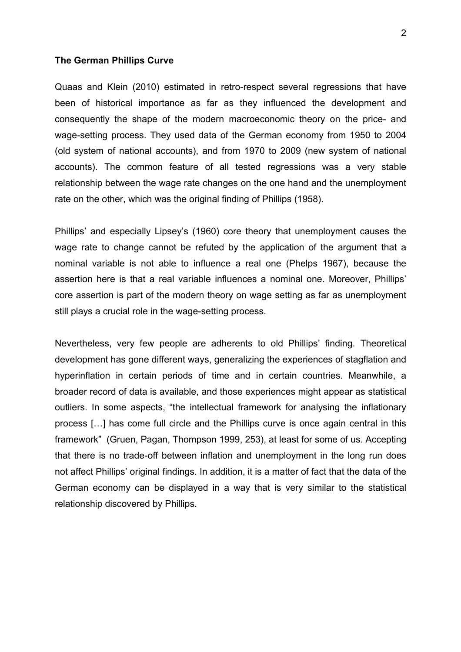#### **The German Phillips Curve**

Quaas and Klein (2010) estimated in retro-respect several regressions that have been of historical importance as far as they influenced the development and consequently the shape of the modern macroeconomic theory on the price- and wage-setting process. They used data of the German economy from 1950 to 2004 (old system of national accounts), and from 1970 to 2009 (new system of national accounts). The common feature of all tested regressions was a very stable relationship between the wage rate changes on the one hand and the unemployment rate on the other, which was the original finding of Phillips (1958).

Phillips' and especially Lipsey's (1960) core theory that unemployment causes the wage rate to change cannot be refuted by the application of the argument that a nominal variable is not able to influence a real one (Phelps 1967), because the assertion here is that a real variable influences a nominal one. Moreover, Phillips' core assertion is part of the modern theory on wage setting as far as unemployment still plays a crucial role in the wage-setting process.

Nevertheless, very few people are adherents to old Phillips' finding. Theoretical development has gone different ways, generalizing the experiences of stagflation and hyperinflation in certain periods of time and in certain countries. Meanwhile, a broader record of data is available, and those experiences might appear as statistical outliers. In some aspects, "the intellectual framework for analysing the inflationary process […] has come full circle and the Phillips curve is once again central in this framework" (Gruen, Pagan, Thompson 1999, 253), at least for some of us. Accepting that there is no trade-off between inflation and unemployment in the long run does not affect Phillips' original findings. In addition, it is a matter of fact that the data of the German economy can be displayed in a way that is very similar to the statistical relationship discovered by Phillips.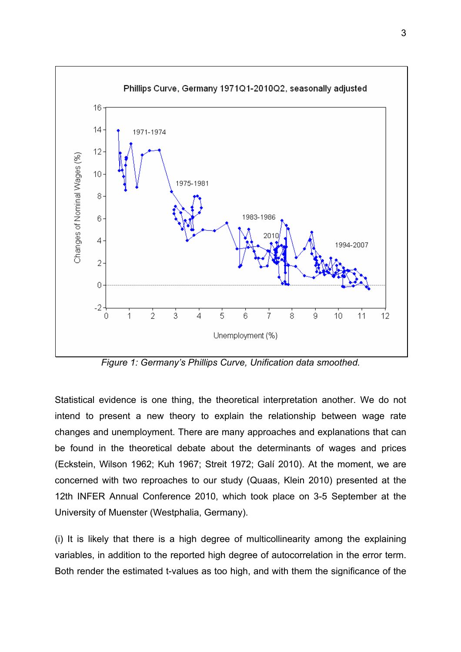

*Figure 1: Germany's Phillips Curve, Unification data smoothed.* 

Statistical evidence is one thing, the theoretical interpretation another. We do not intend to present a new theory to explain the relationship between wage rate changes and unemployment. There are many approaches and explanations that can be found in the theoretical debate about the determinants of wages and prices (Eckstein, Wilson 1962; Kuh 1967; Streit 1972; Galí 2010). At the moment, we are concerned with two reproaches to our study (Quaas, Klein 2010) presented at the 12th INFER Annual Conference 2010, which took place on 3-5 September at the University of Muenster (Westphalia, Germany).

(i) It is likely that there is a high degree of multicollinearity among the explaining variables, in addition to the reported high degree of autocorrelation in the error term. Both render the estimated t-values as too high, and with them the significance of the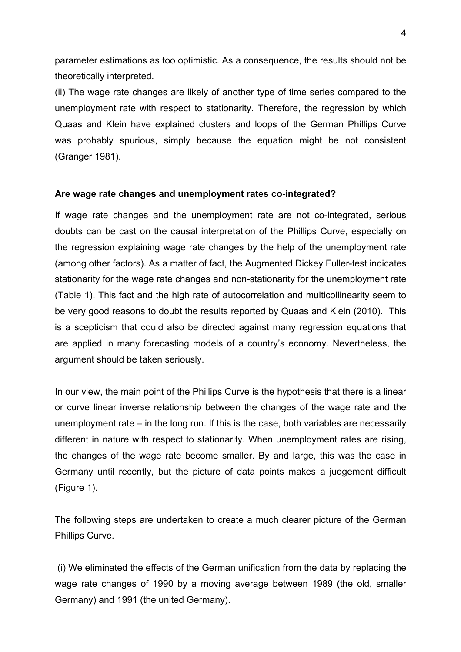parameter estimations as too optimistic. As a consequence, the results should not be theoretically interpreted.

(ii) The wage rate changes are likely of another type of time series compared to the unemployment rate with respect to stationarity. Therefore, the regression by which Quaas and Klein have explained clusters and loops of the German Phillips Curve was probably spurious, simply because the equation might be not consistent (Granger 1981).

# **Are wage rate changes and unemployment rates co-integrated?**

If wage rate changes and the unemployment rate are not co-integrated, serious doubts can be cast on the causal interpretation of the Phillips Curve, especially on the regression explaining wage rate changes by the help of the unemployment rate (among other factors). As a matter of fact, the Augmented Dickey Fuller-test indicates stationarity for the wage rate changes and non-stationarity for the unemployment rate (Table 1). This fact and the high rate of autocorrelation and multicollinearity seem to be very good reasons to doubt the results reported by Quaas and Klein (2010). This is a scepticism that could also be directed against many regression equations that are applied in many forecasting models of a country's economy. Nevertheless, the argument should be taken seriously.

In our view, the main point of the Phillips Curve is the hypothesis that there is a linear or curve linear inverse relationship between the changes of the wage rate and the unemployment rate – in the long run. If this is the case, both variables are necessarily different in nature with respect to stationarity. When unemployment rates are rising, the changes of the wage rate become smaller. By and large, this was the case in Germany until recently, but the picture of data points makes a judgement difficult (Figure 1).

The following steps are undertaken to create a much clearer picture of the German Phillips Curve.

 (i) We eliminated the effects of the German unification from the data by replacing the wage rate changes of 1990 by a moving average between 1989 (the old, smaller Germany) and 1991 (the united Germany).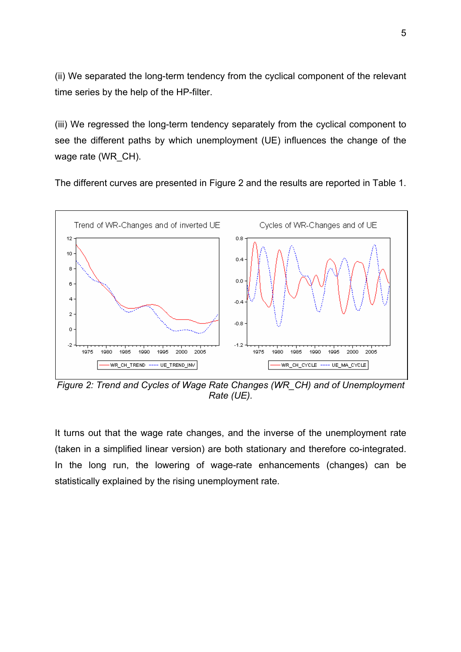(ii) We separated the long-term tendency from the cyclical component of the relevant time series by the help of the HP-filter.

(iii) We regressed the long-term tendency separately from the cyclical component to see the different paths by which unemployment (UE) influences the change of the wage rate (WR\_CH).

The different curves are presented in Figure 2 and the results are reported in Table 1.



*Figure 2: Trend and Cycles of Wage Rate Changes (WR\_CH) and of Unemployment Rate (UE).* 

It turns out that the wage rate changes, and the inverse of the unemployment rate (taken in a simplified linear version) are both stationary and therefore co-integrated. In the long run, the lowering of wage-rate enhancements (changes) can be statistically explained by the rising unemployment rate.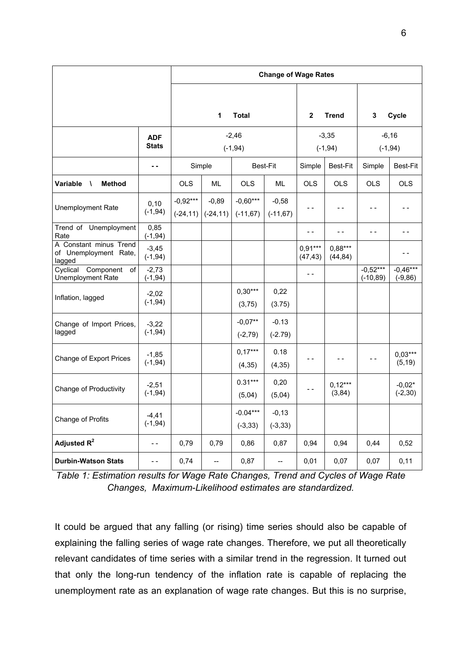|                                                           |                            | <b>Change of Wage Rates</b> |                          |                           |                        |                       |                       |                           |                          |
|-----------------------------------------------------------|----------------------------|-----------------------------|--------------------------|---------------------------|------------------------|-----------------------|-----------------------|---------------------------|--------------------------|
|                                                           |                            |                             |                          |                           |                        |                       |                       |                           |                          |
|                                                           |                            |                             | $\mathbf{1}$             | <b>Total</b>              |                        | $\boldsymbol{2}$      | <b>Trend</b>          | 3                         | Cycle                    |
|                                                           | <b>ADF</b><br><b>Stats</b> | $-2,46$<br>$(-1, 94)$       |                          |                           | $-3,35$<br>$(-1, 94)$  |                       | $-6,16$<br>$(-1, 94)$ |                           |                          |
|                                                           |                            | Simple                      |                          |                           | <b>Best-Fit</b>        | Simple                | Best-Fit              | Simple                    | Best-Fit                 |
| Variable<br><b>Method</b><br>$\sqrt{ }$                   |                            | <b>OLS</b>                  | ML                       | <b>OLS</b>                | ML                     | <b>OLS</b>            | OLS                   | <b>OLS</b>                | <b>OLS</b>               |
| <b>Unemployment Rate</b>                                  | 0, 10<br>$(-1, 94)$        | $-0,92***$<br>$(-24, 11)$   | $-0,89$<br>$(-24, 11)$   | $-0,60***$<br>$(-11, 67)$ | $-0,58$<br>$(-11, 67)$ | - -                   |                       | - -                       | - -                      |
| Trend of Unemployment<br>Rate                             | 0,85<br>$(-1, 94)$         |                             |                          |                           |                        | $ -$                  | $ -$                  | $ -$                      | $ -$                     |
| A Constant minus Trend<br>of Unemployment Rate,<br>lagged | $-3,45$<br>$(-1, 94)$      |                             |                          |                           |                        | $0,91***$<br>(47, 43) | $0,88***$<br>(44, 84) |                           | $ -$                     |
| Component<br>Cyclical<br>of<br>Unemployment Rate          | $-2,73$<br>$(-1, 94)$      |                             |                          |                           |                        | $- -$                 |                       | $-0,52***$<br>$(-10, 89)$ | $-0,46***$<br>$(-9, 86)$ |
| Inflation, lagged                                         | $-2,02$<br>$(-1, 94)$      |                             |                          | $0,30***$<br>(3,75)       | 0,22<br>(3.75)         |                       |                       |                           |                          |
| Change of Import Prices,<br>lagged                        | $-3,22$<br>$(-1, 94)$      |                             |                          | $-0,07**$<br>$(-2, 79)$   | $-0.13$<br>$(-2.79)$   |                       |                       |                           |                          |
| Change of Export Prices                                   | $-1,85$<br>$(-1, 94)$      |                             |                          | $0,17***$<br>(4, 35)      | 0.18<br>(4, 35)        | $ -$                  |                       | $ -$                      | $0,03***$<br>(5, 19)     |
| Change of Productivity                                    | $-2,51$<br>$(-1, 94)$      |                             |                          | $0.31***$<br>(5,04)       | 0,20<br>(5,04)         | - -                   | $0,12***$<br>(3, 84)  |                           | $-0,02*$<br>$(-2, 30)$   |
| Change of Profits                                         | $-4, 41$<br>$(-1, 94)$     |                             |                          | $-0.04***$<br>$(-3, 33)$  | $-0,13$<br>$(-3, 33)$  |                       |                       |                           |                          |
| Adjusted $R^2$                                            | $ -$                       | 0,79                        | 0,79                     | 0,86                      | 0,87                   | 0,94                  | 0,94                  | 0,44                      | 0,52                     |
| <b>Durbin-Watson Stats</b>                                | - -                        | 0,74                        | $\overline{\phantom{a}}$ | 0,87                      | --                     | 0,01                  | 0,07                  | 0,07                      | 0,11                     |

*Table 1: Estimation results for Wage Rate Changes, Trend and Cycles of Wage Rate Changes, Maximum-Likelihood estimates are standardized.* 

It could be argued that any falling (or rising) time series should also be capable of explaining the falling series of wage rate changes. Therefore, we put all theoretically relevant candidates of time series with a similar trend in the regression. It turned out that only the long-run tendency of the inflation rate is capable of replacing the unemployment rate as an explanation of wage rate changes. But this is no surprise,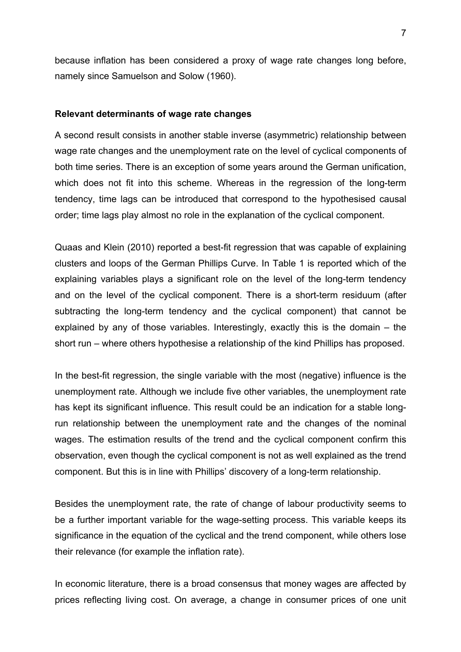because inflation has been considered a proxy of wage rate changes long before, namely since Samuelson and Solow (1960).

## **Relevant determinants of wage rate changes**

A second result consists in another stable inverse (asymmetric) relationship between wage rate changes and the unemployment rate on the level of cyclical components of both time series. There is an exception of some years around the German unification, which does not fit into this scheme. Whereas in the regression of the long-term tendency, time lags can be introduced that correspond to the hypothesised causal order; time lags play almost no role in the explanation of the cyclical component.

Quaas and Klein (2010) reported a best-fit regression that was capable of explaining clusters and loops of the German Phillips Curve. In Table 1 is reported which of the explaining variables plays a significant role on the level of the long-term tendency and on the level of the cyclical component. There is a short-term residuum (after subtracting the long-term tendency and the cyclical component) that cannot be explained by any of those variables. Interestingly, exactly this is the domain – the short run – where others hypothesise a relationship of the kind Phillips has proposed.

In the best-fit regression, the single variable with the most (negative) influence is the unemployment rate. Although we include five other variables, the unemployment rate has kept its significant influence. This result could be an indication for a stable longrun relationship between the unemployment rate and the changes of the nominal wages. The estimation results of the trend and the cyclical component confirm this observation, even though the cyclical component is not as well explained as the trend component. But this is in line with Phillips' discovery of a long-term relationship.

Besides the unemployment rate, the rate of change of labour productivity seems to be a further important variable for the wage-setting process. This variable keeps its significance in the equation of the cyclical and the trend component, while others lose their relevance (for example the inflation rate).

In economic literature, there is a broad consensus that money wages are affected by prices reflecting living cost. On average, a change in consumer prices of one unit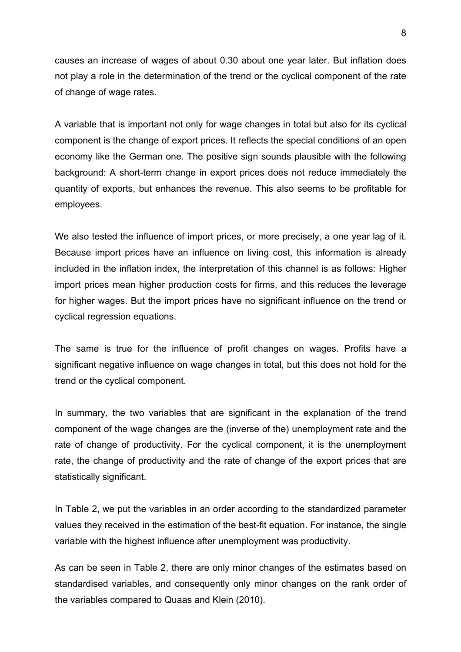causes an increase of wages of about 0.30 about one year later. But inflation does not play a role in the determination of the trend or the cyclical component of the rate of change of wage rates.

A variable that is important not only for wage changes in total but also for its cyclical component is the change of export prices. It reflects the special conditions of an open economy like the German one. The positive sign sounds plausible with the following background: A short-term change in export prices does not reduce immediately the quantity of exports, but enhances the revenue. This also seems to be profitable for employees.

We also tested the influence of import prices, or more precisely, a one year lag of it. Because import prices have an influence on living cost, this information is already included in the inflation index, the interpretation of this channel is as follows: Higher import prices mean higher production costs for firms, and this reduces the leverage for higher wages. But the import prices have no significant influence on the trend or cyclical regression equations.

The same is true for the influence of profit changes on wages. Profits have a significant negative influence on wage changes in total, but this does not hold for the trend or the cyclical component.

In summary, the two variables that are significant in the explanation of the trend component of the wage changes are the (inverse of the) unemployment rate and the rate of change of productivity. For the cyclical component, it is the unemployment rate, the change of productivity and the rate of change of the export prices that are statistically significant.

In Table 2, we put the variables in an order according to the standardized parameter values they received in the estimation of the best-fit equation. For instance, the single variable with the highest influence after unemployment was productivity.

As can be seen in Table 2, there are only minor changes of the estimates based on standardised variables, and consequently only minor changes on the rank order of the variables compared to Quaas and Klein (2010).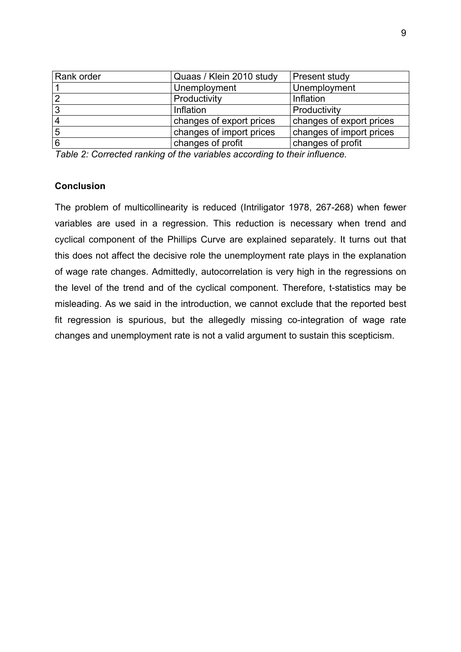| Rank order     | Quaas / Klein 2010 study | Present study            |
|----------------|--------------------------|--------------------------|
|                | Unemployment             | Unemployment             |
| $\overline{2}$ | Productivity             | Inflation                |
| 3              | Inflation                | Productivity             |
| 4              | changes of export prices | changes of export prices |
| 5              | changes of import prices | changes of import prices |
| 6              | changes of profit        | changes of profit        |

*Table 2: Corrected ranking of the variables according to their influence.* 

# **Conclusion**

The problem of multicollinearity is reduced (Intriligator 1978, 267-268) when fewer variables are used in a regression. This reduction is necessary when trend and cyclical component of the Phillips Curve are explained separately. It turns out that this does not affect the decisive role the unemployment rate plays in the explanation of wage rate changes. Admittedly, autocorrelation is very high in the regressions on the level of the trend and of the cyclical component. Therefore, t-statistics may be misleading. As we said in the introduction, we cannot exclude that the reported best fit regression is spurious, but the allegedly missing co-integration of wage rate changes and unemployment rate is not a valid argument to sustain this scepticism.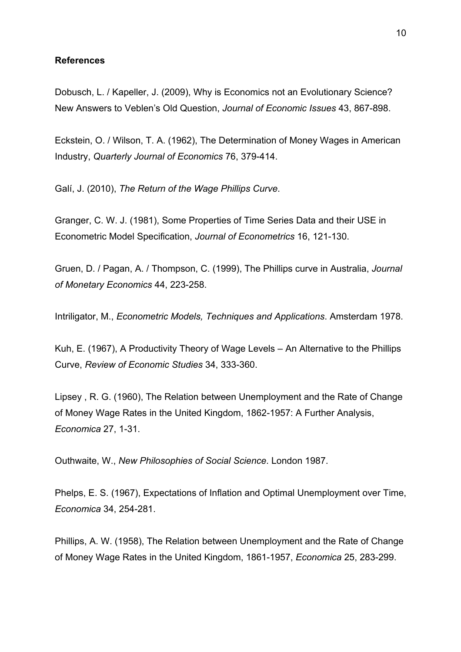#### **References**

Dobusch, L. / Kapeller, J. (2009), Why is Economics not an Evolutionary Science? New Answers to Veblen's Old Question, *Journal of Economic Issues* 43, 867-898.

Eckstein, O. / Wilson, T. A. (1962), The Determination of Money Wages in American Industry, *Quarterly Journal of Economics* 76, 379-414.

Galí, J. (2010), *The Return of the Wage Phillips Curve*.

Granger, C. W. J. (1981), Some Properties of Time Series Data and their USE in Econometric Model Specification, *Journal of Econometrics* 16, 121-130.

Gruen, D. / Pagan, A. / Thompson, C. (1999), The Phillips curve in Australia, *Journal of Monetary Economics* 44, 223-258.

Intriligator, M., *Econometric Models, Techniques and Applications*. Amsterdam 1978.

Kuh, E. (1967), A Productivity Theory of Wage Levels – An Alternative to the Phillips Curve, *Review of Economic Studies* 34, 333-360.

Lipsey , R. G. (1960), The Relation between Unemployment and the Rate of Change of Money Wage Rates in the United Kingdom, 1862-1957: A Further Analysis, *Economica* 27, 1-31.

Outhwaite, W., *New Philosophies of Social Science*. London 1987.

Phelps, E. S. (1967), Expectations of Inflation and Optimal Unemployment over Time, *Economica* 34, 254-281.

Phillips, A. W. (1958), The Relation between Unemployment and the Rate of Change of Money Wage Rates in the United Kingdom, 1861-1957, *Economica* 25, 283-299.